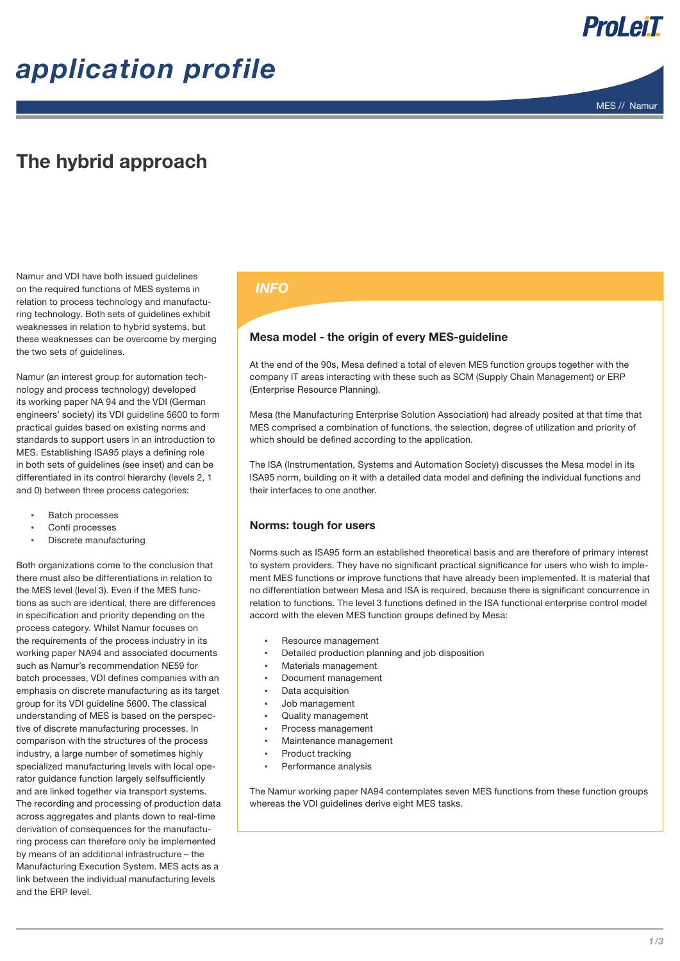# *application profile*





### The hybrid approach

Namur and VDI have both issued guidelines on the required functions of MES systems in relation to process technology and manufacturing technology. Both sets of guidelines exhibit weaknesses in relation to hybrid systems, but these weaknesses can be overcome by merging the two sets of guidelines.

Namur (an interest group for automation technology and process technology) developed its working paper NA 94 and the VDI (German engineers' society) its VDI guideline 5600 to form practical guides based on existing norms and standards to support users in an introduction to MES. Establishing ISA95 plays a defining role in both sets of guidelines (see inset) and can be differentiated in its control hierarchy (levels 2, 1 and 0) between three process categories:

- **Batch processes**
- Conti processes
- **Discrete manufacturing**

Both organizations come to the conclusion that there must also be differentiations in relation to the MES level (level 3). Even if the MES functions as such are identical, there are differences in specification and priority depending on the process category. Whilst Namur focuses on the requirements of the process industry in its working paper NA94 and associated documents such as Namur's recommendation NE59 for batch processes, VDI defines companies with an emphasis on discrete manufacturing as its target group for its VDI guideline 5600. The classical understanding of MES is based on the perspective of discrete manufacturing processes. In comparison with the structures of the process industry, a large number of sometimes highly specialized manufacturing levels with local operator guidance function largely selfsufficiently and are linked together via transport systems. The recording and processing of production data across aggregates and plants down to real-time derivation of consequences for the manufacturing process can therefore only be implemented by means of an additional infrastructure – the Manufacturing Execution System. MES acts as a link between the individual manufacturing levels and the ERP level.

### *INFO*

#### Mesa model - the origin of every MES-guideline

At the end of the 90s, Mesa defined a total of eleven MES function groups together with the company IT areas interacting with these such as SCM (Supply Chain Management) or ERP (Enterprise Resource Planning).

Mesa (the Manufacturing Enterprise Solution Association) had already posited at that time that MES comprised a combination of functions, the selection, degree of utilization and priority of which should be defined according to the application.

The ISA (Instrumentation, Systems and Automation Society) discusses the Mesa model in its ISA95 norm, building on it with a detailed data model and defining the individual functions and their interfaces to one another.

### Norms: tough for users

Norms such as ISA95 form an established theoretical basis and are therefore of primary interest to system providers. They have no significant practical significance for users who wish to implement MES functions or improve functions that have already been implemented. It is material that no differentiation between Mesa and ISA is required, because there is significant concurrence in relation to functions. The level 3 functions defined in the ISA functional enterprise control model accord with the eleven MES function groups defined by Mesa:

- Resource management
- Detailed production planning and job disposition
- Materials management
- Document management
- Data acquisition
- Job management
- Quality management
- Process management
- Maintenance management
- Product tracking
- Performance analysis

The Namur working paper NA94 contemplates seven MES functions from these function groups whereas the VDI guidelines derive eight MES tasks.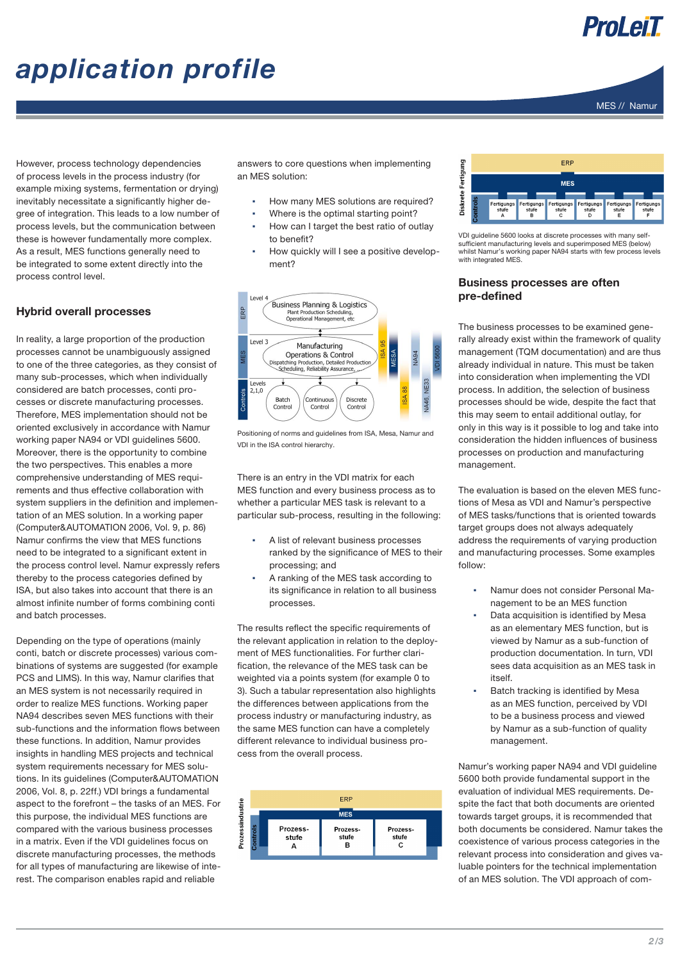### ProLeiT

MES // Namur

# *application profile*

However, process technology dependencies of process levels in the process industry (for example mixing systems, fermentation or drying) inevitably necessitate a significantly higher degree of integration. This leads to a low number of process levels, but the communication between these is however fundamentally more complex. As a result, MES functions generally need to be integrated to some extent directly into the process control level.

### Hybrid overall processes

In reality, a large proportion of the production processes cannot be unambiguously assigned to one of the three categories, as they consist of many sub-processes, which when individually considered are batch processes, conti processes or discrete manufacturing processes. Therefore, MES implementation should not be oriented exclusively in accordance with Namur working paper NA94 or VDI guidelines 5600. Moreover, there is the opportunity to combine the two perspectives. This enables a more comprehensive understanding of MES requirements and thus effective collaboration with system suppliers in the definition and implementation of an MES solution. In a working paper (Computer&AUTOMATION 2006, Vol. 9, p. 86) Namur confirms the view that MES functions need to be integrated to a significant extent in the process control level. Namur expressly refers thereby to the process categories defined by ISA, but also takes into account that there is an almost infinite number of forms combining conti and batch processes.

Depending on the type of operations (mainly conti, batch or discrete processes) various combinations of systems are suggested (for example PCS and LIMS). In this way, Namur clarifies that an MES system is not necessarily required in order to realize MES functions. Working paper NA94 describes seven MES functions with their sub-functions and the information flows between these functions. In addition, Namur provides insights in handling MES projects and technical system requirements necessary for MES solutions. In its guidelines (Computer&AUTOMATlON 2006, Vol. 8, p. 22ff.) VDI brings a fundamental aspect to the forefront – the tasks of an MES. For this purpose, the individual MES functions are compared with the various business processes in a matrix. Even if the VDI guidelines focus on discrete manufacturing processes, the methods for all types of manufacturing are likewise of interest. The comparison enables rapid and reliable

answers to core questions when implementing an MES solution:

- How many MES solutions are required?
- Where is the optimal starting point?
- How can I target the best ratio of outlay to benefit?
- How quickly will I see a positive development?



Positioning of norms and guidelines from ISA, Mesa, Namur and VDI in the ISA control hierarchy.

There is an entry in the VDI matrix for each MES function and every business process as to whether a particular MES task is relevant to a particular sub-process, resulting in the following:

- A list of relevant business processes ranked by the significance of MES to their processing; and
- A ranking of the MES task according to its significance in relation to all business processes.

The results reflect the specific requirements of the relevant application in relation to the deployment of MES functionalities. For further clarification, the relevance of the MES task can be weighted via a points system (for example 0 to 3). Such a tabular representation also highlights the differences between applications from the process industry or manufacturing industry, as the same MES function can have a completely different relevance to individual business process from the overall process.





VDI guideline 5600 looks at discrete processes with many selfsufficient manufacturing levels and superimposed MES (below) whilst Namur's working paper NA94 starts with few process levels with integrated MES.

#### Business processes are often pre-defined

The business processes to be examined generally already exist within the framework of quality management (TQM documentation) and are thus already individual in nature. This must be taken into consideration when implementing the VDI process. In addition, the selection of business processes should be wide, despite the fact that this may seem to entail additional outlay, for only in this way is it possible to log and take into consideration the hidden influences of business processes on production and manufacturing management.

The evaluation is based on the eleven MES functions of Mesa as VDI and Namur's perspective of MES tasks/functions that is oriented towards target groups does not always adequately address the requirements of varying production and manufacturing processes. Some examples follow:

- Namur does not consider Personal Management to be an MES function
- Data acquisition is identified by Mesa as an elementary MES function, but is viewed by Namur as a sub-function of production documentation. In turn, VDI sees data acquisition as an MES task in itself.
- Batch tracking is identified by Mesa as an MES function, perceived by VDI to be a business process and viewed by Namur as a sub-function of quality management.

Namur's working paper NA94 and VDI guideline 5600 both provide fundamental support in the evaluation of individual MES requirements. Despite the fact that both documents are oriented towards target groups, it is recommended that both documents be considered. Namur takes the coexistence of various process categories in the relevant process into consideration and gives valuable pointers for the technical implementation of an MES solution. The VDI approach of com-